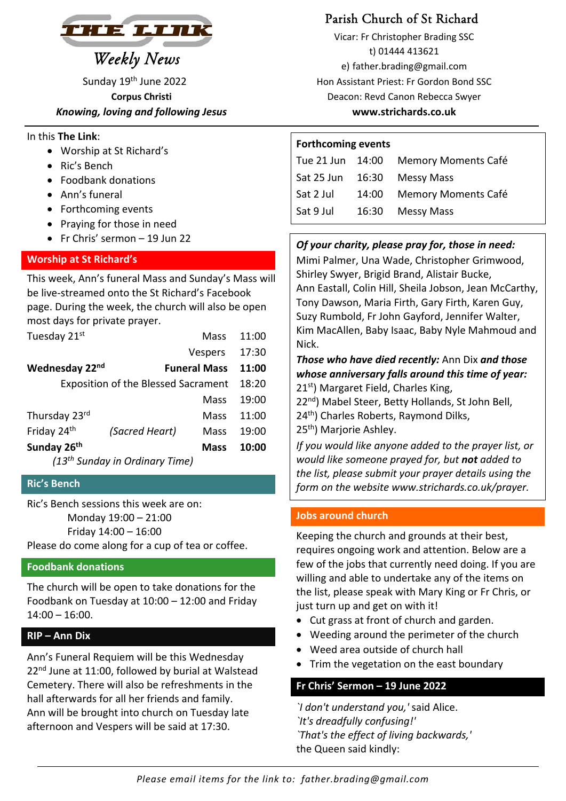

 *Knowing, loving and following Jesus*  **www.strichards.co.uk** 

### In this **The Link**:

- Worship at St Richard's
- Ric's Bench
- Foodbank donations
- Ann's funeral
- Forthcoming events
- Praying for those in need
- Fr Chris' sermon 19 Jun 22

# **Worship at St Richard's**

This week, Ann's funeral Mass and Sunday's Mass will be live‐streamed onto the St Richard's Facebook page. During the week, the church will also be open most days for private prayer.

| Tuesday 21st                               |                | Mass                | 11:00 |  |
|--------------------------------------------|----------------|---------------------|-------|--|
|                                            |                | Vespers             | 17:30 |  |
| Wednesday 22nd                             |                | <b>Funeral Mass</b> | 11:00 |  |
| <b>Exposition of the Blessed Sacrament</b> |                |                     | 18:20 |  |
|                                            |                | Mass                | 19:00 |  |
| Thursday 23rd                              |                | Mass                | 11:00 |  |
| Friday 24th                                | (Sacred Heart) | Mass                | 19:00 |  |
| Sunday 26 <sup>th</sup>                    |                | Mass                | 10:00 |  |
| (13 <sup>th</sup> Sunday in Ordinary Time) |                |                     |       |  |

**Ric's Bench** 

Ric's Bench sessions this week are on: Monday 19:00 – 21:00 Friday 14:00 – 16:00 Please do come along for a cup of tea or coffee.

# **Foodbank donations**

The church will be open to take donations for the Foodbank on Tuesday at 10:00 – 12:00 and Friday 14:00 – 16:00.

# **RIP – Ann Dix**

Ann's Funeral Requiem will be this Wednesday 22<sup>nd</sup> June at 11:00, followed by burial at Walstead Cemetery. There will also be refreshments in the hall afterwards for all her friends and family. Ann will be brought into church on Tuesday late afternoon and Vespers will be said at 17:30.

 Vicar: Fr Christopher Brading SSC t) 01444 413621<br> *Weekly News* e) father brading@gma e) father.brading@gmail.com Sunday 19th June 2022Hon Assistant Priest: Fr Gordon Bond SSC **Corpus Christi Corpus Christi** Deacon: Revd Canon Rebecca Swyer

#### **Forthcoming events**

| Tue 21 Jun | 14:00 | Memory Moments Café        |
|------------|-------|----------------------------|
| Sat 25 Jun | 16:30 | Messy Mass                 |
| Sat 2 Jul  | 14:00 | <b>Memory Moments Café</b> |
| Sat 9 Jul  | 16:30 | Messy Mass                 |

# *Of your charity, please pray for, those in need:*

Mimi Palmer, Una Wade, Christopher Grimwood, Shirley Swyer, Brigid Brand, Alistair Bucke, Ann Eastall, Colin Hill, Sheila Jobson, Jean McCarthy, Tony Dawson, Maria Firth, Gary Firth, Karen Guy, Suzy Rumbold, Fr John Gayford, Jennifer Walter, Kim MacAllen, Baby Isaac, Baby Nyle Mahmoud and Nick.

#### *Those who have died recently:* Ann Dix *and those whose anniversary falls around this time of year:*  21<sup>st</sup>) Margaret Field, Charles King,

22<sup>nd</sup>) Mabel Steer, Betty Hollands, St John Bell,

24<sup>th</sup>) Charles Roberts, Raymond Dilks,

25th) Marjorie Ashley.

*If you would like anyone added to the prayer list, or would like someone prayed for, but not added to the list, please submit your prayer details using the form on the website www.strichards.co.uk/prayer.* 

# **Jobs around church**

Keeping the church and grounds at their best, requires ongoing work and attention. Below are a few of the jobs that currently need doing. If you are willing and able to undertake any of the items on the list, please speak with Mary King or Fr Chris, or just turn up and get on with it!

- Cut grass at front of church and garden.
- Weeding around the perimeter of the church
- Weed area outside of church hall
- Trim the vegetation on the east boundary

# **Fr Chris' Sermon – 19 June 2022**

*`I don't understand you,'* said Alice. *`It's dreadfully confusing!' `That's the effect of living backwards,'*  the Queen said kindly: